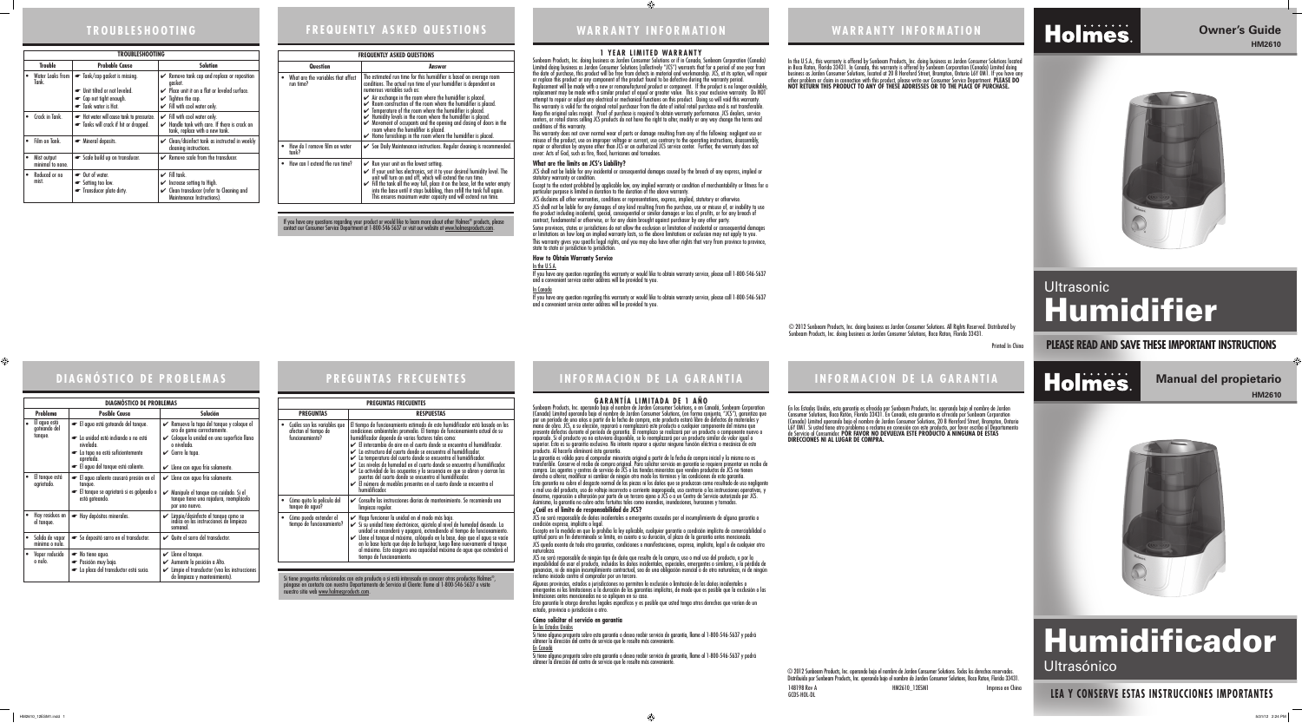### **INFORMACION DE LA GARANTIA INFORMACION DE LA GARANTIA**

Sunbeam Products, Inc. operando bajo el nombre de Jarden Consumer Solutions, o en Canadá, Sunbeam Corporation (Canada) Limited operando bajo el nombre de Jarden Consumer Solutions, (en forma conjunta, "JCS"), garantiza que por un período de uno años a partir de la fecha de compra, este producto estará libre de defectos de materiales y mano de obra. JCS, a su elección, reparará o reemplazará este producto o cualquier componente del mismo que presente defectos durante el período de garantía. El reemplazo se realizará por un producto o componente nuevo o reparado. Si el producto ya no estuviera disponible, se lo reemplazará por un producto similar de valor igual o<br>superior. Esta es su garantía exclusiva. No intente reparar o ajustar ninguna función eléctrica o mecánica de periodos, en predecio y a no exterior disponsat, se to resimplazar por en predecio sinhar do valor igual e<br>superior. Ésta es su garantía exclusiva. No intente reparar o ajustar ninguna función eléctrica o mecánica de este<br>



#### **GARANTÍA LIMITADA DE 1 AÑO**

La garantía es válida para el comprador minorista original a partir de la fecha de compra inicial y la misma no es transferible. Conserve el recibo de compra original. Para solicitar servicio en garantía se requiere presentar un recibo de compra. Los agentes y centros de servicio de JCS o las tiendas minoristas que venden productos de JCS no tienen derecho a alterar, modificar ni cambiar de ningún otro modo los términos y las condiciones de esta garantía.

Esta garantía no cubre el desgaste normal de las piezas ni los daños que se produzcan como resultado de uso negligente o mal uso del producto, uso de voltaje incorrecto o corriente inapropiada, uso contrario a las instrucciones operativas, y desarme, reparación o alteración por parte de un tercero ajeno a JCS o a un Centro de Servicio autorizado por JCS. Asimismo, la garantía no cubre actos fortuitos tales como incendios, inundaciones, huracanes y tornados.

JCS no será responsable de daños incidentales o emergentes causados por el incumplimiento de alguna garantía o

**¿Cuál es el límite de responsabilidad de JCS?**  condición expresa, implícita o legal. naturaleza.

Excepto en la medida en que lo prohíba la ley aplicable, cualquier garantía o condición implícita de comerciabilidad o aptitud para un fin determinado se limita, en cuanto a su duración, al plazo de la garantía antes mencionada. JCS queda exenta de toda otra garantías, condiciones o manifestaciones, expresa, implícita, legal o de cualquier otra

Si tiene alguna pregunta sobre esta garantía o desea recibir servicio de garantía, llame al 1-800-546-5637 y podrá<br>obtener la dirección del centro de servicio que le resulte más conveniente.

Si tiene alguna pregunta sobre esta garantía o desea recibir servicio de garantía, llame al 1-800-546-5637 y podrá<br>obtener la dirección del centro de servicio que le resulte más conveniente.

JCS no será responsable de ningún tipo de daño que resulte de la compra, uso o mal uso del producto, o por la imposibilidad de usar el producto, incluidos los daños incidentales, especiales, emergentes o similares, o la pérdida de ganancias, ni de ningún incumplimiento contractual, sea de una obligación esencial o de otra naturaleza, ni de ningún reclamo iniciado contra el comprador por un tercero. Algunas provincias, estados o jurisdicciones no permiten la exclusión o limitación de los daños incidentales o emergentes ni las limitaciones a la duración de las garantías implícitas, de modo que es posible que la exclusión o las limitaciones antes mencionadas no se apliquen en su caso. Esta garantía le otorga derechos legales específicos y es posible que usted tenga otros derechos que varían de un estado, provincia o jurisdicción a otro.

**Cómo solicitar el servicio en garantía**  En los Estados Unidos En Canadá

<u>In the U.S.A.</u> If you have any question regarding this warranty or would like to obtain warranty service, please call 1-800-546-5637 and a convenient service center address will be provided to you.

<u>In Canada</u> If you have any question regarding this warranty or would like to obtain warranty service, please call 1-800-546-5637 and a convenient service center address will be provided to you.

# **DIAGNÓSTICO DE PROBLEMAS EREGUNTAS FRECUENTES**

# **WARRANTY INFORMATION WARRANTY INFORMATION**

In the U.S.A., this warranty is offered by Sunbeam Products, Inc. doing business as Jarden Consumer Solutions located in Boca Raton, Florida 33431. In Canada, this warranty is offered by Sunbeam Corporation (Canada) Limited doing business as Jarden Consumer Solutions, located at 20 B Hereford Street, Brampton, Ontario L6Y 0M1. If you have any other problem or claim in connection with this product, please write our Consumer Service Department. **PLEASE DO NOT RETURN THIS PRODUCT TO ANY OF THESE ADDRESSES OR TO THE PLACE OF PURCHASE.** 

#### **1 YEAR LIMITED WARRANTY**

Sunbeam Products, Inc. doing business as Jarden Consumer Solutions or if in Canada, Sunbeam Corporation (Canada) Limited doing business as Jarden Consumer Solutions (collectively "JCS") warrants that for a period of one year from the date of purchase, this product will be free from defects in material and workmanship. JCS, at its option, will repair or replace this product or any component of the product found to be defective during the warranty period. Replacement will be made with a new or remanufactured product or component. If the product is no longer available, replacement may be made with a similar product of equal or greater value. This is your exclusive warranty. Do NOT attempt to repair or adjust any electrical or mechanical functions on this product. Doing so will void this warranty. This warranty is valid for the original retail purchaser from the date of initial retail purchase and is not transferable. Keep the original sales receipt. Proof of purchase is required to obtain warranty performance. JCS dealers, service centers, or retail stores selling JCS products do not have the right to alter, modify or any way change the terms and



This warranty does not cover normal wear of parts or damage resulting from any of the following: negligent use or misuse of the product, use on improper voltage or current, use contrary to the operating instructions, disassembly, repair or alteration by anyone other than JCS or an authorized JCS service center. Further, the warranty does not cover: Acts of God, such as fire, flood, hurricanes and tornadoes.

JCS shall not be liable for any incidental or consequential damages caused by the breach of any express, implied or

Except to the extent prohibited by applicable law, any implied warranty or condition of merchantability or fitness for a particular purpose is limited in duration to the duration of the above warranty.

# **Ultrasonic** Humidifier

JCS disclaims all other warranties, conditions or representations, express, implied, statutory or otherwise. JCS shall not be liable for any damages of any kind resulting from the purchase, use or misuse of, or inability to use the product including incidental, special, consequential or similar damages or loss of profits, or for any breach of

**What are the limits on JCS's Liability?** statutory warranty or condition. state to state or jurisdiction to jurisdiction.

Si tiene preguntas relacionadas con este producto o si está interesado en conocer otros productos Holmes®, pón<br>póngase en contacto con nuestro Departamento de Servicio al Cliente: llame al 1-800-546-5637 o visite nuestro sitio web www.holmesproducts.com.

contract, fundamental or otherwise, or for any claim brought against purchaser by any other party. Some provinces, states or jurisdictions do not allow the exclusion or limitation of incidental or consequential damages or limitations on how long an implied warranty lasts, so the above limitations or exclusion may not apply to you. This warranty gives you specific legal rights, and you may also have other rights that vary from province to province,

**How to Obtain Warranty Service**

Printed In China

# Holmes.



# **TROUBLESHOOTING**

|                | <b>TROUBLESHOOTING</b>          |                                                                                 |                                                                                                                                            |  |  |
|----------------|---------------------------------|---------------------------------------------------------------------------------|--------------------------------------------------------------------------------------------------------------------------------------------|--|--|
| <b>Trouble</b> |                                 | <b>Probable Cause</b>                                                           | <b>Solution</b>                                                                                                                            |  |  |
|                | Water Leaks from 1<br>Tank.     | $\bullet$ Tank/cap gasket is missing.<br>Unit tilted or not leveled.            | $\swarrow$ Remove tank cap and replace or reposition<br>gasket.<br>Place unit it on a flat or leveled surface.                             |  |  |
|                |                                 | • Cap not tight enough.<br>Tank water is Hot.                                   | $\checkmark$ Tighten the cap.<br>$\checkmark$ Fill with cool water only.                                                                   |  |  |
|                | Crack in Tank.                  | Hot water will cause tank to pressurize.<br>Tanks will crack if hit or dropped. | $\checkmark$ Fill with cool water only.<br>Handle tank with care. If there is crack on<br>tank, replace with a new tank.                   |  |  |
|                | Film on Tank.                   | • Mineral deposits.                                                             | ← Clean/disinfect tank as instructed in weekly<br>cleaning instructions.                                                                   |  |  |
|                | Mist output<br>minimal to none. | Scale build up on transducer.                                                   | $\swarrow$ Remove scale from the transducer.                                                                                               |  |  |
|                | Reduced or no<br>mist.          | • Out of water.<br>Setting too low.<br>Transducer plate dirty.                  | $\checkmark$ Fill tank.<br>$\mathcal V$ Increase setting to High.<br>Clean transducer (refer to Cleaning and<br>Maintenance Instructions). |  |  |

|  | <b>FREQUENTLY ASKED QUESTIONS</b> |  |
|--|-----------------------------------|--|
|  |                                   |  |
|  |                                   |  |

| <b>FREQUENTLY ASKED QUESTIONS</b> |                                    |                                                                                                                                                                                                                                                                                                                                                                                                                                                                                                                                                                                                                                                                                                          |  |
|-----------------------------------|------------------------------------|----------------------------------------------------------------------------------------------------------------------------------------------------------------------------------------------------------------------------------------------------------------------------------------------------------------------------------------------------------------------------------------------------------------------------------------------------------------------------------------------------------------------------------------------------------------------------------------------------------------------------------------------------------------------------------------------------------|--|
| <b>Question</b>                   |                                    | Answer                                                                                                                                                                                                                                                                                                                                                                                                                                                                                                                                                                                                                                                                                                   |  |
| run time?                         | What are the variables that affect | The estimated run time for this humidifier is based on average room<br>conditions. The actual run time of your humidifier is dependent on<br>numerous variables such as:<br>$\blacktriangleright$ Air exchange in the room where the humidifier is placed.<br>$\checkmark$ Room construction of the room where the humidifier is placed.<br>$\checkmark$ Temperature of the room where the humidifier is placed.<br>$\blacktriangleright$ Humidity levels in the room where the humidifier is placed.<br>Movement of occupants and the opening and closing of doors in the<br>room where the humidifier is placed.<br>$\blacktriangleright$ Home furnishings in the room where the humidifier is placed. |  |
| tank?                             | • How do I remove film on water    | ► See Daily Maintenance instructions. Regular cleaning is recommended.                                                                                                                                                                                                                                                                                                                                                                                                                                                                                                                                                                                                                                   |  |
|                                   | How can I extend the run time?     | $\swarrow$ Run your unit on the lowest setting.<br>If your unit has electronics, set it to your desired humidity level. The<br>unit will turn on and off, which will extend the run time.<br>$\checkmark$ Fill the tank all the way full, place it on the base, let the water empty<br>into the base until it stops bubbling, then refill the tank full again.<br>This ensures maximum water capacity and will extend run time.                                                                                                                                                                                                                                                                          |  |

If you have any questions regarding your product or would like to learn more about other Holmes® products, please<br>contact our Consumer Service Department at 1-800-546-5637 or visit our website at <u>www.holmesproducts.com</u>.

148198 Rev A HM2610\_12ESM1 Impreso en China GCDS-HOL-DL © 2012 Sunbeam Products, Inc. operando bajo el nombre de Jarden Consumer Solutions. Todos los derechos reservados. Distribuido por Sunbeam Products, Inc. operando bajo el nombre de Jarden Consumer Solutions, Boca Raton, Florida 33431.

Holmes.



| <b>PREGUNTAS FRECUENTES</b>                                             |                                                                                                                                                                                                                                                                                                                                                                                                                                                                                                                                                                                                                                                                                                                                                                                           |  |  |
|-------------------------------------------------------------------------|-------------------------------------------------------------------------------------------------------------------------------------------------------------------------------------------------------------------------------------------------------------------------------------------------------------------------------------------------------------------------------------------------------------------------------------------------------------------------------------------------------------------------------------------------------------------------------------------------------------------------------------------------------------------------------------------------------------------------------------------------------------------------------------------|--|--|
| <b>PREGUNTAS</b>                                                        | <b>RESPUESTAS</b>                                                                                                                                                                                                                                                                                                                                                                                                                                                                                                                                                                                                                                                                                                                                                                         |  |  |
| Cuáles son las variables que<br>afectan el tiempo de<br>funcionamiento? | El tiempo de funcionamiento estimado de este humidificador está basado en las<br>condiciones ambientales promedio. El tiempo de funcionamiento actual de su<br>humidificador depende de varios factores tales como:<br>$\angle$ El intercambio de aire en el cuarto donde se encuentra el humidificador.<br>$\swarrow$ La estructura del cuarto donde se encuentra el humidificador.<br>$\mathcal V$ La temperatura del cuarto donde se encuentra el humidificador.<br>Los niveles de humedad en el cuarto donde se encuentra el humidificador.<br>$\checkmark$ La actividad de los ocupantes y la secuencia en que se abren y cierran las puertas del cuarto donde se encuentra el humidificador.<br>El número de muebles presentes en el cuarto donde se encuentra el<br>humidificador. |  |  |
| Cómo quito la película del<br>tanque de agua?                           | Consulte las instrucciones diarias de mantenimiento. Se recomienda una<br>V<br>limpieza regular.                                                                                                                                                                                                                                                                                                                                                                                                                                                                                                                                                                                                                                                                                          |  |  |
| Cómo puedo extender el<br>tiempo de funcionamiento?                     | Haga funcionar la unidad en el modo más bajo.<br>$\checkmark$ Si su unidad tiene electrónicos, ajústela al nivel de humedad deseado. La unidad se encenderá y apagará, extendiendo el tiempo de funcionamiento.<br>► Llene el tanque al máximo, colóquelo en la base, deje que el agua se vacíe<br>en la base hasta que deje de burbujear, luego llene nuevamente el tanque<br>al máximo. Esto asegura una capacidad máxima de agua que extenderá el<br>tiempo de funcionamiento.                                                                                                                                                                                                                                                                                                         |  |  |

|          | <b>DIAGNÓSTICO DE PROBLEMAS</b>   |                                                                                          |                                                                                                                                                      |  |
|----------|-----------------------------------|------------------------------------------------------------------------------------------|------------------------------------------------------------------------------------------------------------------------------------------------------|--|
| Problema |                                   | <b>Posible Causa</b>                                                                     | <b>Solución</b>                                                                                                                                      |  |
|          | El agua está<br>goteando del      | El agua está goteando del tanque.                                                        | Remueva la tapa del tanque y coloque el<br>aro de goma correctamente.                                                                                |  |
|          | tanque.                           | La unidad está inclianda o no está<br>nivelada                                           | Coloque la unidad en una superficie llana<br>o nivelada.                                                                                             |  |
|          |                                   | La tapa no está suficientemente<br>apretada.                                             | $\checkmark$ Cierre la tapa.                                                                                                                         |  |
|          |                                   | El agua del tanque está caliente.                                                        | $\mathcal V$ Llene con agua fría solamente.                                                                                                          |  |
|          | El tanque está<br>agrietado.      | El agua caliente causará presión en el<br>tanque.                                        | $\mathcal V$ Llene con agua fría solamente.                                                                                                          |  |
|          |                                   | El tanque se agrietará si es golpeado o<br>está goteando.                                | Manipule el tanque con cuidado. Si el<br>V<br>tanque tiene una rajadura, reemplácelo<br>por uno nuevo.                                               |  |
|          | Hay residuos en<br>el tanque.     | Hay depósitos minerales.                                                                 | Limpie/desinfecte el tanque como se<br>indica en las instrucciones de limpieza<br>semanal                                                            |  |
|          | Salida de vapor<br>mínima o nula. | Se depositó sarro en el transductor.                                                     | ← Quite el sarro del transductor.                                                                                                                    |  |
|          | Vapor reducido<br>o nulo.         | $\bullet$ No tiene agua.<br>• Posición muy baja.<br>La placa del transductor está sucia. | $\mathcal V$ Llene el tanque.<br>Aumente la posición a Alto.<br>✓<br>► Limpie el transductor (vea las instrucciones<br>de limpieza y mantenimiento). |  |

# **PLEASE READ AND SAVE THESE IMPORTANT INSTRUCTIONS**





## **LEA Y CONSERVE ESTAS INSTRUCCIONES IMPORTANTES**

**Manual del propietario HM2610**



# Humidificador

Ultrasónico

#### ♠